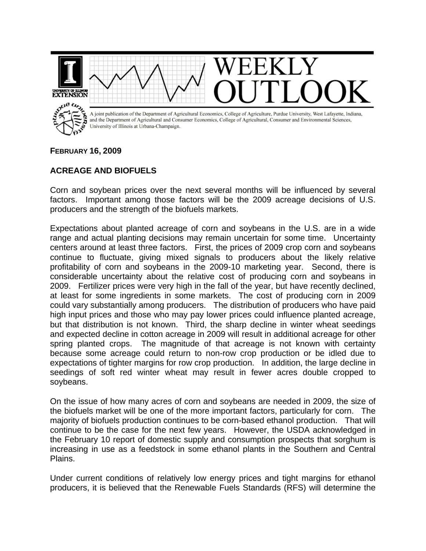**EXTENSION** pue to ... A joint publication of the Department of Agricultural Economics, College of Agriculture, Purdue University, West Lafayette, Indiana, and the Department of Agricultural and Consumer Economics, College of Agricultural, Consumer and Environmental Sciences, University of Illinois at Urbana-Champaign.

## **FEBRUARY 16, 2009**

## **ACREAGE AND BIOFUELS**

Corn and soybean prices over the next several months will be influenced by several factors. Important among those factors will be the 2009 acreage decisions of U.S. producers and the strength of the biofuels markets.

Expectations about planted acreage of corn and soybeans in the U.S. are in a wide range and actual planting decisions may remain uncertain for some time. Uncertainty centers around at least three factors. First, the prices of 2009 crop corn and soybeans continue to fluctuate, giving mixed signals to producers about the likely relative profitability of corn and soybeans in the 2009-10 marketing year. Second, there is considerable uncertainty about the relative cost of producing corn and soybeans in 2009. Fertilizer prices were very high in the fall of the year, but have recently declined, at least for some ingredients in some markets. The cost of producing corn in 2009 could vary substantially among producers. The distribution of producers who have paid high input prices and those who may pay lower prices could influence planted acreage, but that distribution is not known. Third, the sharp decline in winter wheat seedings and expected decline in cotton acreage in 2009 will result in additional acreage for other spring planted crops. The magnitude of that acreage is not known with certainty because some acreage could return to non-row crop production or be idled due to expectations of tighter margins for row crop production. In addition, the large decline in seedings of soft red winter wheat may result in fewer acres double cropped to soybeans.

On the issue of how many acres of corn and soybeans are needed in 2009, the size of the biofuels market will be one of the more important factors, particularly for corn. The majority of biofuels production continues to be corn-based ethanol production. That will continue to be the case for the next few years. However, the USDA acknowledged in the February 10 report of domestic supply and consumption prospects that sorghum is increasing in use as a feedstock in some ethanol plants in the Southern and Central Plains.

Under current conditions of relatively low energy prices and tight margins for ethanol producers, it is believed that the Renewable Fuels Standards (RFS) will determine the